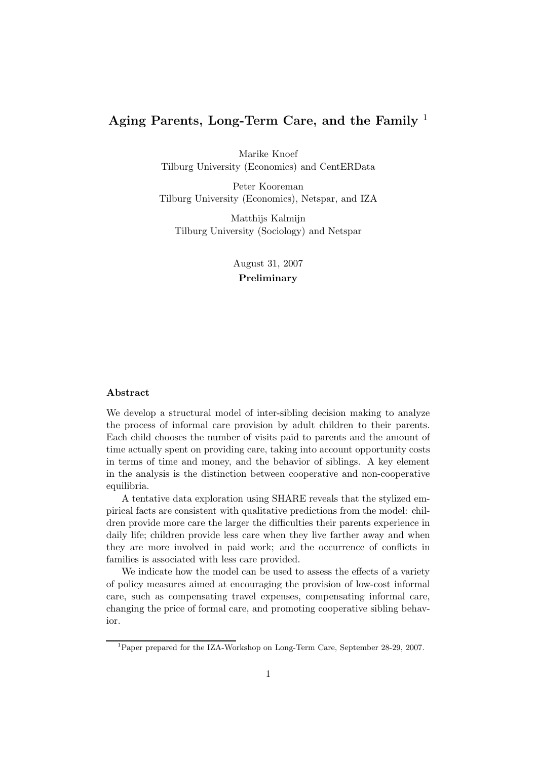## Aging Parents, Long-Term Care, and the Family  $<sup>1</sup>$ </sup>

Marike Knoef Tilburg University (Economics) and CentERData

Peter Kooreman Tilburg University (Economics), Netspar, and IZA

Matthijs Kalmijn Tilburg University (Sociology) and Netspar

> August 31, 2007 Preliminary

#### Abstract

We develop a structural model of inter-sibling decision making to analyze the process of informal care provision by adult children to their parents. Each child chooses the number of visits paid to parents and the amount of time actually spent on providing care, taking into account opportunity costs in terms of time and money, and the behavior of siblings. A key element in the analysis is the distinction between cooperative and non-cooperative equilibria.

A tentative data exploration using SHARE reveals that the stylized empirical facts are consistent with qualitative predictions from the model: children provide more care the larger the difficulties their parents experience in daily life; children provide less care when they live farther away and when they are more involved in paid work; and the occurrence of conflicts in families is associated with less care provided.

We indicate how the model can be used to assess the effects of a variety of policy measures aimed at encouraging the provision of low-cost informal care, such as compensating travel expenses, compensating informal care, changing the price of formal care, and promoting cooperative sibling behavior.

<sup>&</sup>lt;sup>1</sup>Paper prepared for the IZA-Workshop on Long-Term Care, September 28-29, 2007.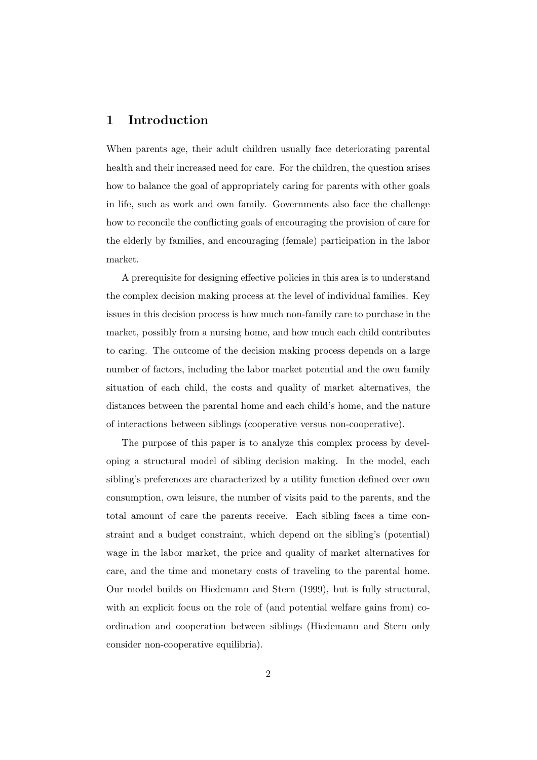## 1 Introduction

When parents age, their adult children usually face deteriorating parental health and their increased need for care. For the children, the question arises how to balance the goal of appropriately caring for parents with other goals in life, such as work and own family. Governments also face the challenge how to reconcile the conflicting goals of encouraging the provision of care for the elderly by families, and encouraging (female) participation in the labor market.

A prerequisite for designing effective policies in this area is to understand the complex decision making process at the level of individual families. Key issues in this decision process is how much non-family care to purchase in the market, possibly from a nursing home, and how much each child contributes to caring. The outcome of the decision making process depends on a large number of factors, including the labor market potential and the own family situation of each child, the costs and quality of market alternatives, the distances between the parental home and each child's home, and the nature of interactions between siblings (cooperative versus non-cooperative).

The purpose of this paper is to analyze this complex process by developing a structural model of sibling decision making. In the model, each sibling's preferences are characterized by a utility function defined over own consumption, own leisure, the number of visits paid to the parents, and the total amount of care the parents receive. Each sibling faces a time constraint and a budget constraint, which depend on the sibling's (potential) wage in the labor market, the price and quality of market alternatives for care, and the time and monetary costs of traveling to the parental home. Our model builds on Hiedemann and Stern (1999), but is fully structural, with an explicit focus on the role of (and potential welfare gains from) coordination and cooperation between siblings (Hiedemann and Stern only consider non-cooperative equilibria).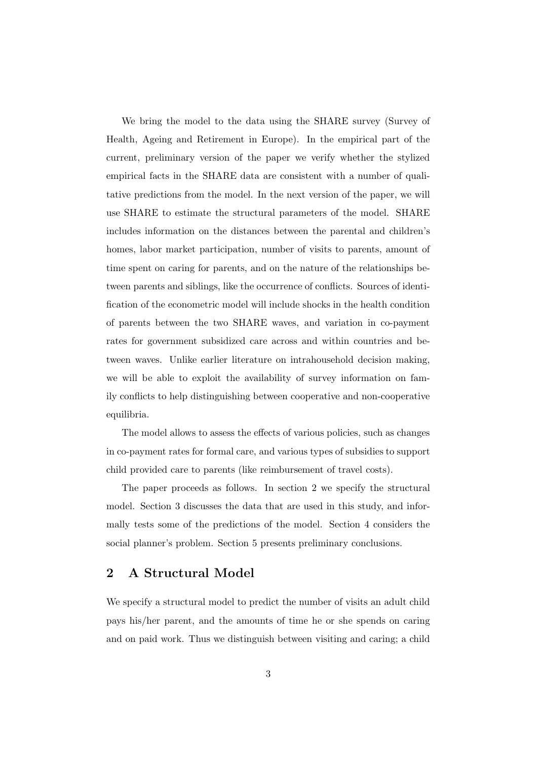We bring the model to the data using the SHARE survey (Survey of Health, Ageing and Retirement in Europe). In the empirical part of the current, preliminary version of the paper we verify whether the stylized empirical facts in the SHARE data are consistent with a number of qualitative predictions from the model. In the next version of the paper, we will use SHARE to estimate the structural parameters of the model. SHARE includes information on the distances between the parental and children's homes, labor market participation, number of visits to parents, amount of time spent on caring for parents, and on the nature of the relationships between parents and siblings, like the occurrence of conflicts. Sources of identification of the econometric model will include shocks in the health condition of parents between the two SHARE waves, and variation in co-payment rates for government subsidized care across and within countries and between waves. Unlike earlier literature on intrahousehold decision making, we will be able to exploit the availability of survey information on family conflicts to help distinguishing between cooperative and non-cooperative equilibria.

The model allows to assess the effects of various policies, such as changes in co-payment rates for formal care, and various types of subsidies to support child provided care to parents (like reimbursement of travel costs).

The paper proceeds as follows. In section 2 we specify the structural model. Section 3 discusses the data that are used in this study, and informally tests some of the predictions of the model. Section 4 considers the social planner's problem. Section 5 presents preliminary conclusions.

### 2 A Structural Model

We specify a structural model to predict the number of visits an adult child pays his/her parent, and the amounts of time he or she spends on caring and on paid work. Thus we distinguish between visiting and caring; a child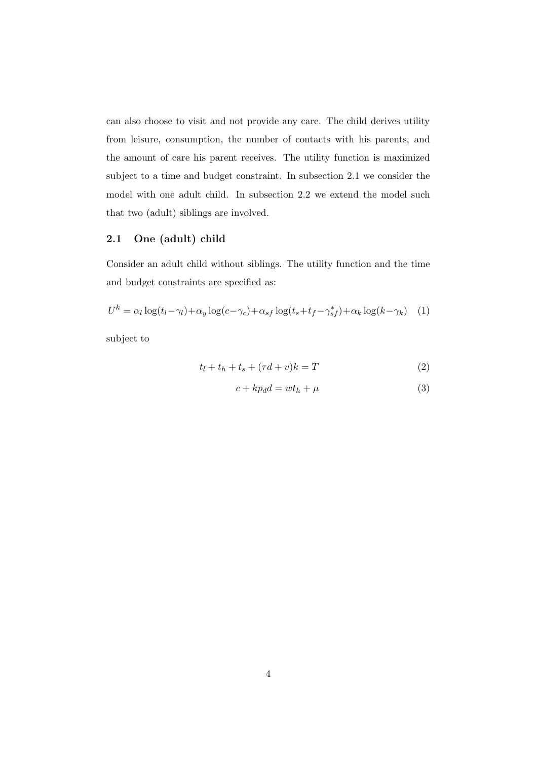can also choose to visit and not provide any care. The child derives utility from leisure, consumption, the number of contacts with his parents, and the amount of care his parent receives. The utility function is maximized subject to a time and budget constraint. In subsection 2.1 we consider the model with one adult child. In subsection 2.2 we extend the model such that two (adult) siblings are involved.

### 2.1 One (adult) child

Consider an adult child without siblings. The utility function and the time and budget constraints are specified as:

$$
U^{k} = \alpha_{l} \log(t_{l} - \gamma_{l}) + \alpha_{y} \log(c - \gamma_{c}) + \alpha_{sf} \log(t_{s} + t_{f} - \gamma_{sf}^{*}) + \alpha_{k} \log(k - \gamma_{k}) \quad (1)
$$

subject to

$$
t_l + t_h + t_s + (\tau d + v)k = T \tag{2}
$$

$$
c + kp_d d = wt_h + \mu \tag{3}
$$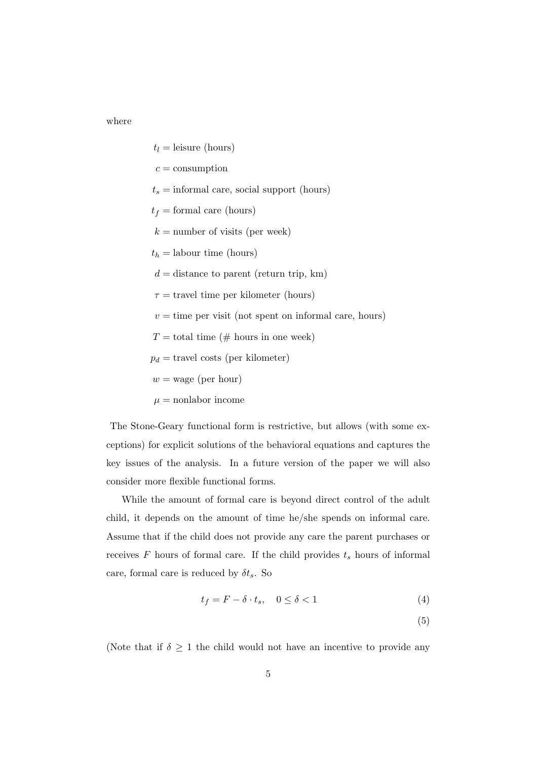where

 $t_l =$  leisure (hours)  $c =$  consumption  $t_s =$  informal care, social support (hours)  $t_f =$  formal care (hours)  $k =$  number of visits (per week)  $t_h =$ labour time (hours)  $d =$  distance to parent (return trip, km)  $\tau$  = travel time per kilometer (hours)  $v =$  time per visit (not spent on informal care, hours)  $T =$  total time (# hours in one week)  $p_d$  = travel costs (per kilometer)  $w =$ wage (per hour)  $\mu =$  nonlabor income

The Stone-Geary functional form is restrictive, but allows (with some exceptions) for explicit solutions of the behavioral equations and captures the key issues of the analysis. In a future version of the paper we will also consider more flexible functional forms.

While the amount of formal care is beyond direct control of the adult child, it depends on the amount of time he/she spends on informal care. Assume that if the child does not provide any care the parent purchases or receives  $F$  hours of formal care. If the child provides  $t_s$  hours of informal care, formal care is reduced by  $\delta t_s$ . So

$$
t_f = F - \delta \cdot t_s, \quad 0 \le \delta < 1 \tag{4}
$$

(5)

(Note that if  $\delta \geq 1$  the child would not have an incentive to provide any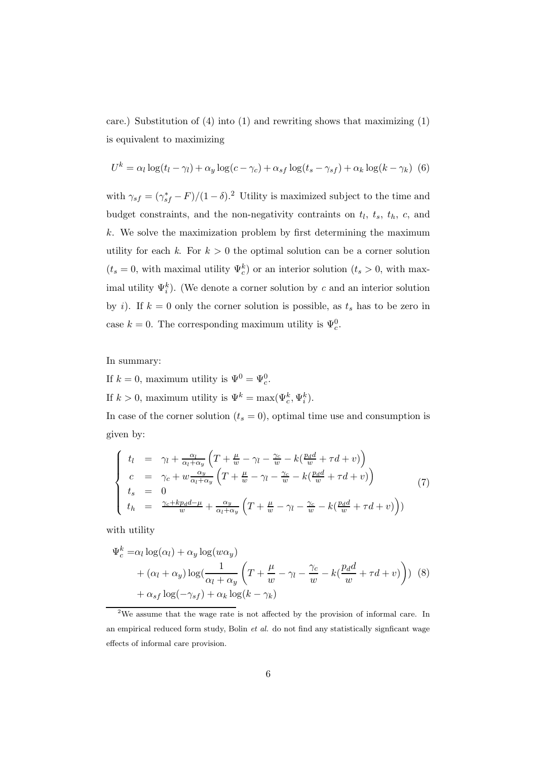care.) Substitution of  $(4)$  into  $(1)$  and rewriting shows that maximizing  $(1)$ is equivalent to maximizing

$$
U^{k} = \alpha_{l} \log(t_{l} - \gamma_{l}) + \alpha_{y} \log(c - \gamma_{c}) + \alpha_{sf} \log(t_{s} - \gamma_{sf}) + \alpha_{k} \log(k - \gamma_{k}) \tag{6}
$$

with  $\gamma_{sf} = (\gamma_{sf}^* - F)/(1 - \delta)^2$  Utility is maximized subject to the time and budget constraints, and the non-negativity contraints on  $t_l$ ,  $t_s$ ,  $t_h$ ,  $c$ , and  $k$ . We solve the maximization problem by first determining the maximum utility for each k. For  $k > 0$  the optimal solution can be a corner solution  $(t_s = 0, \text{ with maximal utility } \Psi_c^k)$  or an interior solution  $(t_s > 0, \text{ with max-}$ imal utility  $\Psi_i^k$ ). (We denote a corner solution by c and an interior solution by i). If  $k = 0$  only the corner solution is possible, as  $t_s$  has to be zero in case  $k = 0$ . The corresponding maximum utility is  $\Psi_c^0$ .

In summary:

If  $k = 0$ , maximum utility is  $\Psi^0 = \Psi_c^0$ .

If  $k > 0$ , maximum utility is  $\Psi^k = \max(\Psi_c^k, \Psi_i^k)$ .

In case of the corner solution  $(t_s = 0)$ , optimal time use and consumption is given by:

$$
\begin{cases}\n t_l = \gamma_l + \frac{\alpha_l}{\alpha_l + \alpha_y} \left( T + \frac{\mu}{w} - \gamma_l - \frac{\gamma_c}{w} - k(\frac{p_d d}{w} + \tau d + v) \right) \\
c = \gamma_c + w \frac{\alpha_y}{\alpha_l + \alpha_y} \left( T + \frac{\mu}{w} - \gamma_l - \frac{\gamma_c}{w} - k(\frac{p_d d}{w} + \tau d + v) \right) \\
t_s = 0 \\
t_h = \frac{\gamma_c + kp_d d - \mu}{w} + \frac{\alpha_y}{\alpha_l + \alpha_y} \left( T + \frac{\mu}{w} - \gamma_l - \frac{\gamma_c}{w} - k(\frac{p_d d}{w} + \tau d + v) \right)\n\end{cases} (7)
$$

with utility

$$
\Psi_c^k = \alpha_l \log(\alpha_l) + \alpha_y \log(w\alpha_y)
$$
  
+  $(\alpha_l + \alpha_y) \log(\frac{1}{\alpha_l + \alpha_y} \left( T + \frac{\mu}{w} - \gamma_l - \frac{\gamma_c}{w} - k(\frac{p_d d}{w} + \tau d + v) \right))$  (8)  
+  $\alpha_{sf} \log(-\gamma_{sf}) + \alpha_k \log(k - \gamma_k)$ 

<sup>&</sup>lt;sup>2</sup>We assume that the wage rate is not affected by the provision of informal care. In an empirical reduced form study. Bolin *et al.* do not find any statistically signficant wage effects of informal care provision.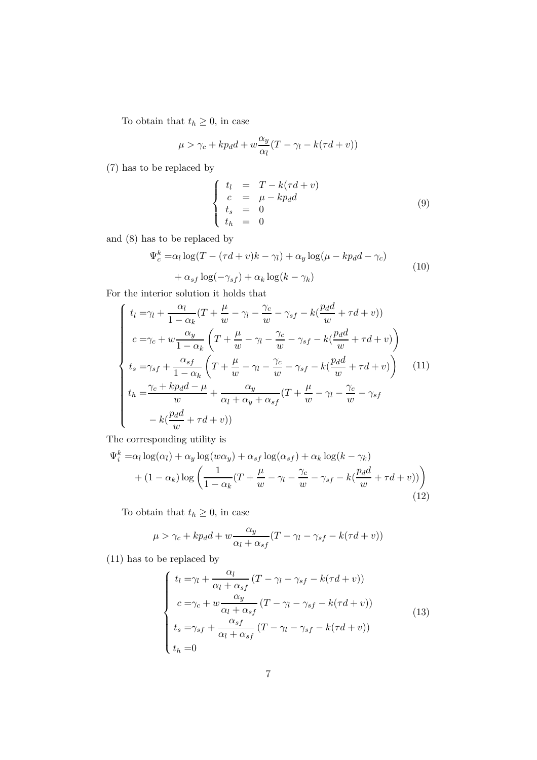To obtain that  $t_h\geq 0,$  in case

$$
\mu > \gamma_c + kp_d d + w \frac{\alpha_y}{\alpha_l} (T - \gamma_l - k(\tau d + v))
$$

(7) has to be replaced by

$$
\begin{cases}\n t_l &= T - k(\tau d + v) \\
c &= \mu - k p_d d \\
t_s &= 0 \\
t_h &= 0\n\end{cases}
$$
\n(9)

and (8) has to be replaced by

$$
\Psi_c^k = \alpha_l \log(T - (\tau d + v)k - \gamma_l) + \alpha_y \log(\mu - kp_d d - \gamma_c)
$$
  
+ 
$$
\alpha_{sf} \log(-\gamma_{sf}) + \alpha_k \log(k - \gamma_k)
$$
 (10)

For the interior solution it holds that

$$
\begin{cases}\n t_l = \gamma_l + \frac{\alpha_l}{1 - \alpha_k} (T + \frac{\mu}{w} - \gamma_l - \frac{\gamma_c}{w} - \gamma_{sf} - k(\frac{p_d d}{w} + \tau d + v)) \\
c = \gamma_c + w \frac{\alpha_y}{1 - \alpha_k} \left( T + \frac{\mu}{w} - \gamma_l - \frac{\gamma_c}{w} - \gamma_{sf} - k(\frac{p_d d}{w} + \tau d + v) \right) \\
t_s = \gamma_{sf} + \frac{\alpha_{sf}}{1 - \alpha_k} \left( T + \frac{\mu}{w} - \gamma_l - \frac{\gamma_c}{w} - \gamma_{sf} - k(\frac{p_d d}{w} + \tau d + v) \right) \\
t_h = \frac{\gamma_c + kp_d d - \mu}{w} + \frac{\alpha_y}{\alpha_l + \alpha_y + \alpha_{sf}} (T + \frac{\mu}{w} - \gamma_l - \frac{\gamma_c}{w} - \gamma_{sf} \\
- k(\frac{p_d d}{w} + \tau d + v))\n\end{cases} (11)
$$

The corresponding utility is

$$
\Psi_i^k = \alpha_l \log(\alpha_l) + \alpha_y \log(w\alpha_y) + \alpha_{sf} \log(\alpha_{sf}) + \alpha_k \log(k - \gamma_k) + (1 - \alpha_k) \log \left( \frac{1}{1 - \alpha_k} (T + \frac{\mu}{w} - \gamma_l - \frac{\gamma_c}{w} - \gamma_{sf} - k(\frac{p_d d}{w} + \tau d + v)) \right)
$$
(12)

To obtain that  $t_h \geq 0$ , in case

$$
\mu > \gamma_c + kp_d + w \frac{\alpha_y}{\alpha_l + \alpha_{sf}} (T - \gamma_l - \gamma_{sf} - k(\tau d + v))
$$

(11) has to be replaced by

$$
\begin{cases}\n t_l = \gamma_l + \frac{\alpha_l}{\alpha_l + \alpha_{sf}} (T - \gamma_l - \gamma_{sf} - k(\tau d + v)) \\
c = \gamma_c + w \frac{\alpha_y}{\alpha_l + \alpha_{sf}} (T - \gamma_l - \gamma_{sf} - k(\tau d + v)) \\
t_s = \gamma_{sf} + \frac{\alpha_{sf}}{\alpha_l + \alpha_{sf}} (T - \gamma_l - \gamma_{sf} - k(\tau d + v)) \\
t_h = 0\n\end{cases}
$$
\n(13)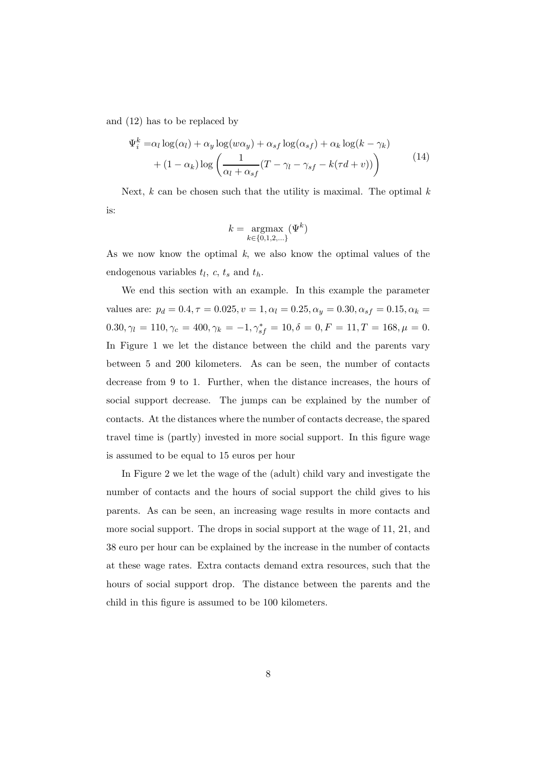and (12) has to be replaced by

$$
\Psi_i^k = \alpha_l \log(\alpha_l) + \alpha_y \log(w\alpha_y) + \alpha_{sf} \log(\alpha_{sf}) + \alpha_k \log(k - \gamma_k)
$$
  
+ 
$$
(1 - \alpha_k) \log\left(\frac{1}{\alpha_l + \alpha_{sf}}(T - \gamma_l - \gamma_{sf} - k(\tau d + v))\right)
$$
 (14)

Next,  $k$  can be chosen such that the utility is maximal. The optimal  $k$ is:

$$
k = \operatorname*{argmax}_{k \in \{0, 1, 2, \ldots\}} (\Psi^k)
$$

As we now know the optimal  $k$ , we also know the optimal values of the endogenous variables  $t_l$ ,  $c$ ,  $t_s$  and  $t_h$ .

We end this section with an example. In this example the parameter values are:  $p_d = 0.4, \tau = 0.025, v = 1, \alpha_l = 0.25, \alpha_y = 0.30, \alpha_{sf} = 0.15, \alpha_k = 0.025, \alpha_k = 0.025, \alpha_k = 0.025, \alpha_k = 0.025, \alpha_k = 0.025, \alpha_k = 0.025, \alpha_k = 0.025, \alpha_k = 0.025, \alpha_k = 0.025, \alpha_k = 0.025, \alpha_k = 0.025, \alpha_k = 0.025, \alpha_k = 0.025, \alpha_k = 0.025$  $0.30, \gamma_l = 110, \gamma_c = 400, \gamma_k = -1, \gamma_{sf}^* = 10, \delta = 0, F = 11, T = 168, \mu = 0.$ In Figure 1 we let the distance between the child and the parents vary between 5 and 200 kilometers. As can be seen, the number of contacts decrease from 9 to 1. Further, when the distance increases, the hours of social support decrease. The jumps can be explained by the number of contacts. At the distances where the number of contacts decrease, the spared travel time is (partly) invested in more social support. In this figure wage is assumed to be equal to 15 euros per hour

In Figure 2 we let the wage of the (adult) child vary and investigate the number of contacts and the hours of social support the child gives to his parents. As can be seen, an increasing wage results in more contacts and more social support. The drops in social support at the wage of 11, 21, and 38 euro per hour can be explained by the increase in the number of contacts at these wage rates. Extra contacts demand extra resources, such that the hours of social support drop. The distance between the parents and the child in this figure is assumed to be 100 kilometers.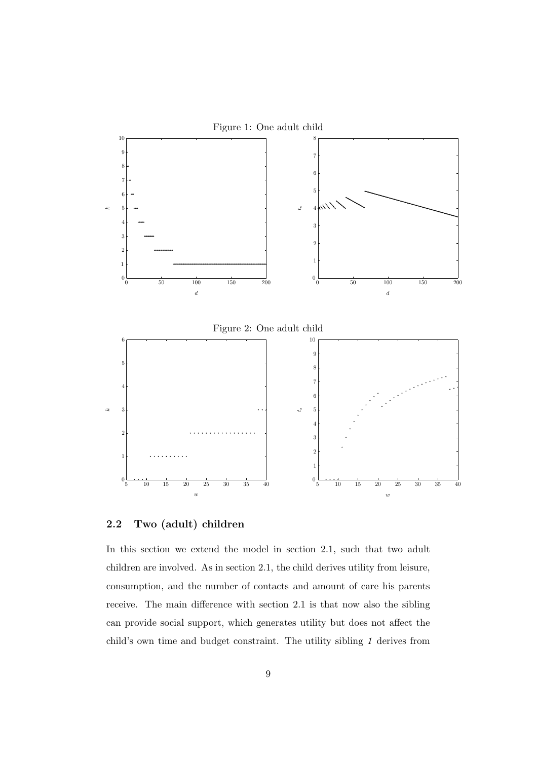

#### 2.2 Two (adult) children

In this section we extend the model in section 2.1, such that two adult children are involved. As in section 2.1, the child derives utility from leisure, consumption, and the number of contacts and amount of care his parents receive. The main difference with section 2.1 is that now also the sibling can provide social support, which generates utility but does not affect the child's own time and budget constraint. The utility sibling 1 derives from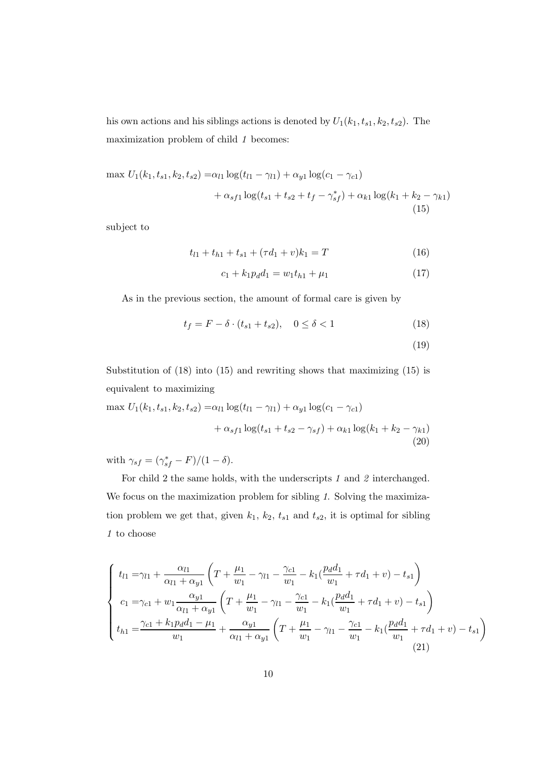his own actions and his siblings actions is denoted by  $U_1(k_1, t_{s1}, k_2, t_{s2})$ . The maximization problem of child 1 becomes:

$$
\max U_1(k_1, t_{s1}, k_2, t_{s2}) = \alpha_{l1} \log(t_{l1} - \gamma_{l1}) + \alpha_{y1} \log(c_1 - \gamma_{c1})
$$
  
+  $\alpha_{s f1} \log(t_{s1} + t_{s2} + t_f - \gamma_{sf}^*) + \alpha_{k1} \log(k_1 + k_2 - \gamma_{k1})$   
(15)

subject to

$$
t_{l1} + t_{h1} + t_{s1} + (\tau d_1 + v)k_1 = T \tag{16}
$$

$$
c_1 + k_1 p_d d_1 = w_1 t_{h1} + \mu_1 \tag{17}
$$

As in the previous section, the amount of formal care is given by

$$
t_f = F - \delta \cdot (t_{s1} + t_{s2}), \quad 0 \le \delta < 1 \tag{18}
$$

(19)

Substitution of (18) into (15) and rewriting shows that maximizing (15) is equivalent to maximizing

$$
\max U_1(k_1, t_{s1}, k_2, t_{s2}) = \alpha_{l1} \log(t_{l1} - \gamma_{l1}) + \alpha_{y1} \log(c_1 - \gamma_{c1})
$$
  
+  $\alpha_{s f1} \log(t_{s1} + t_{s2} - \gamma_{s f}) + \alpha_{k1} \log(k_1 + k_2 - \gamma_{k1})$   
(20)

with  $\gamma_{sf} = (\gamma_{sf}^* - F)/(1 - \delta).$ 

For child 2 the same holds, with the underscripts 1 and 2 interchanged. We focus on the maximization problem for sibling 1. Solving the maximization problem we get that, given  $k_1$ ,  $k_2$ ,  $t_{s1}$  and  $t_{s2}$ , it is optimal for sibling  $1\,$  to choose

$$
\begin{cases}\n t_{l1} = \gamma_{l1} + \frac{\alpha_{l1}}{\alpha_{l1} + \alpha_{y1}} \left( T + \frac{\mu_1}{w_1} - \gamma_{l1} - \frac{\gamma_{c1}}{w_1} - k_1 (\frac{p_d d_1}{w_1} + \tau d_1 + v) - t_{s1} \right) \\
c_1 = \gamma_{c1} + w_1 \frac{\alpha_{y1}}{\alpha_{l1} + \alpha_{y1}} \left( T + \frac{\mu_1}{w_1} - \gamma_{l1} - \frac{\gamma_{c1}}{w_1} - k_1 (\frac{p_d d_1}{w_1} + \tau d_1 + v) - t_{s1} \right) \\
t_{h1} = \frac{\gamma_{c1} + k_1 p_d d_1 - \mu_1}{w_1} + \frac{\alpha_{y1}}{\alpha_{l1} + \alpha_{y1}} \left( T + \frac{\mu_1}{w_1} - \gamma_{l1} - \frac{\gamma_{c1}}{w_1} - k_1 (\frac{p_d d_1}{w_1} + \tau d_1 + v) - t_{s1} \right)\n \end{cases} \tag{21}
$$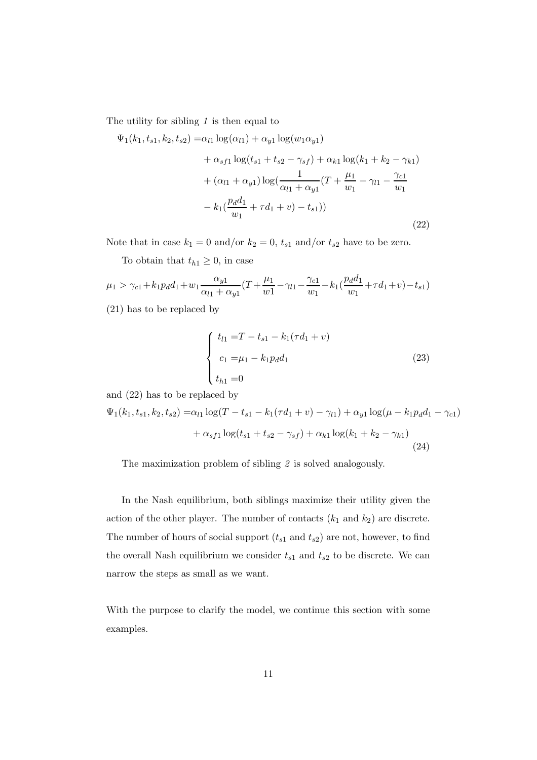The utility for sibling  $1$  is then equal to

$$
\Psi_1(k_1, t_{s1}, k_2, t_{s2}) = \alpha_{l1} \log(\alpha_{l1}) + \alpha_{y1} \log(w_1 \alpha_{y1})
$$
  
+  $\alpha_{s f1} \log(t_{s1} + t_{s2} - \gamma_{s f}) + \alpha_{k1} \log(k_1 + k_2 - \gamma_{k1})$   
+  $(\alpha_{l1} + \alpha_{y1}) \log(\frac{1}{\alpha_{l1} + \alpha_{y1}}(T + \frac{\mu_1}{w_1} - \gamma_{l1} - \frac{\gamma_{c1}}{w_1} - k_1(\frac{p_d d_1}{w_1} + \tau d_1 + v) - t_{s1}))$  (22)

Note that in case  $k_1 = 0$  and/or  $k_2 = 0$ ,  $t_{s1}$  and/or  $t_{s2}$  have to be zero.

To obtain that  $t_{h1} \geq 0$ , in case

$$
\mu_1 > \gamma_{c1} + k_1 p_d d_1 + w_1 \frac{\alpha_{y1}}{\alpha_{l1} + \alpha_{y1}} (T + \frac{\mu_1}{w1} - \gamma_{l1} - \frac{\gamma_{c1}}{w_1} - k_1 (\frac{p_d d_1}{w_1} + \tau d_1 + v) - t_{s1})
$$

(21) has to be replaced by

$$
\begin{cases}\n t_{l1} = T - t_{s1} - k_1(\tau d_1 + v) \\
c_1 = \mu_1 - k_1 p_d d_1 \\
t_{h1} = 0\n\end{cases}
$$
\n(23)

and (22) has to be replaced by

$$
\Psi_1(k_1, t_{s1}, k_2, t_{s2}) = \alpha_{l1} \log(T - t_{s1} - k_1(\tau d_1 + v) - \gamma_{l1}) + \alpha_{y1} \log(\mu - k_1 p_d d_1 - \gamma_{c1})
$$

$$
+ \alpha_{s1} \log(t_{s1} + t_{s2} - \gamma_{s1}) + \alpha_{k1} \log(k_1 + k_2 - \gamma_{k1})
$$
(24)

The maximization problem of sibling 2 is solved analogously.

In the Nash equilibrium, both siblings maximize their utility given the action of the other player. The number of contacts  $(k_1 \text{ and } k_2)$  are discrete. The number of hours of social support  $(t_{s1}$  and  $t_{s2})$  are not, however, to find the overall Nash equilibrium we consider  $t_{s1}$  and  $t_{s2}$  to be discrete. We can narrow the steps as small as we want.

With the purpose to clarify the model, we continue this section with some examples.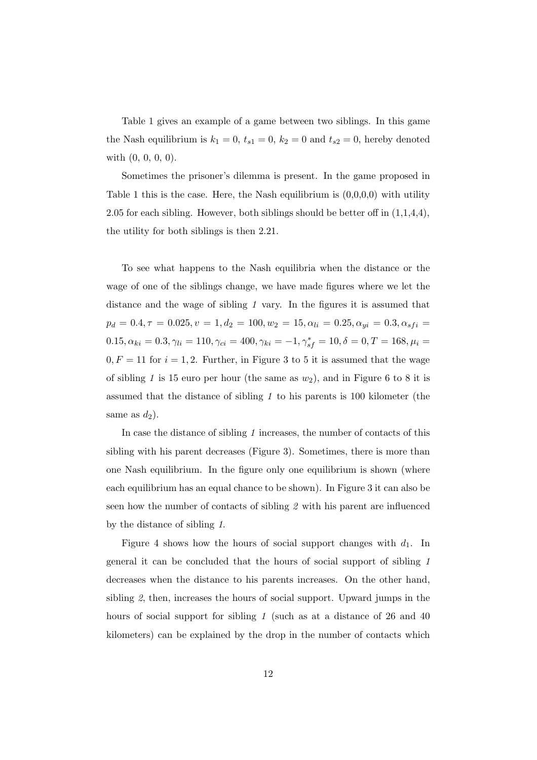Table 1 gives an example of a game between two siblings. In this game the Nash equilibrium is  $k_1 = 0$ ,  $t_{s1} = 0$ ,  $k_2 = 0$  and  $t_{s2} = 0$ , hereby denoted with (0, 0, 0, 0).

Sometimes the prisoner's dilemma is present. In the game proposed in Table 1 this is the case. Here, the Nash equilibrium is  $(0,0,0,0)$  with utility 2.05 for each sibling. However, both siblings should be better off in (1,1,4,4), the utility for both siblings is then 2.21.

To see what happens to the Nash equilibria when the distance or the wage of one of the siblings change, we have made figures where we let the distance and the wage of sibling 1 vary. In the figures it is assumed that  $p_d = 0.4, \tau = 0.025, v = 1, d_2 = 100, w_2 = 15, \alpha_{li} = 0.25, \alpha_{yi} = 0.3, \alpha_{sfi} =$  $0.15, \alpha_{ki} = 0.3, \gamma_{li} = 110, \gamma_{ci} = 400, \gamma_{ki} = -1, \gamma_{sf}^{*} = 10, \delta = 0, T = 168, \mu_i = 0.5$  $0, F = 11$  for  $i = 1, 2$ . Further, in Figure 3 to 5 it is assumed that the wage of sibling 1 is 15 euro per hour (the same as  $w_2$ ), and in Figure 6 to 8 it is assumed that the distance of sibling 1 to his parents is 100 kilometer (the same as  $d_2$ ).

In case the distance of sibling 1 increases, the number of contacts of this sibling with his parent decreases (Figure 3). Sometimes, there is more than one Nash equilibrium. In the figure only one equilibrium is shown (where each equilibrium has an equal chance to be shown). In Figure 3 it can also be seen how the number of contacts of sibling 2 with his parent are influenced by the distance of sibling 1.

Figure 4 shows how the hours of social support changes with  $d_1$ . In general it can be concluded that the hours of social support of sibling 1 decreases when the distance to his parents increases. On the other hand, sibling 2, then, increases the hours of social support. Upward jumps in the hours of social support for sibling 1 (such as at a distance of 26 and 40 kilometers) can be explained by the drop in the number of contacts which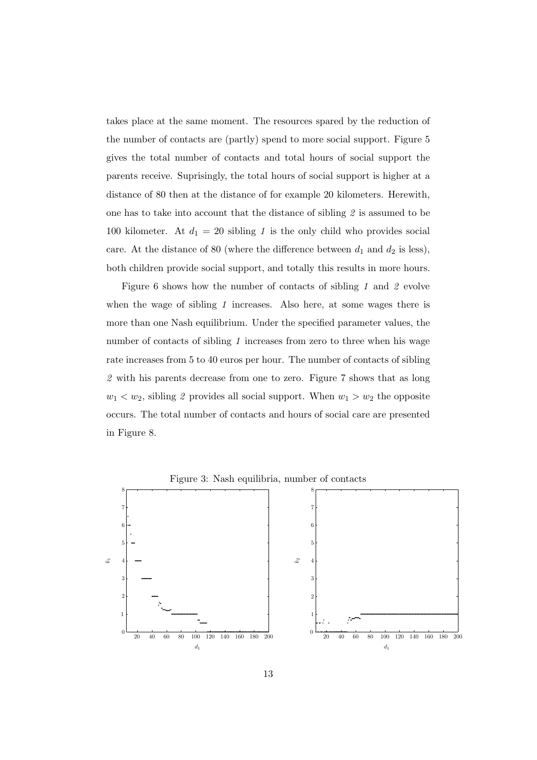takes place at the same moment. The resources spared by the reduction of the number of contacts are (partly) spend to more social support. Figure 5 gives the total number of contacts and total hours of social support the parents receive. Suprisingly, the total hours of social support is higher at a distance of 80 then at the distance of for example 20 kilometers. Herewith, one has to take into account that the distance of sibling 2 is assumed to be 100 kilometer. At  $d_1 = 20$  sibling 1 is the only child who provides social care. At the distance of 80 (where the difference between  $d_1$  and  $d_2$  is less), both children provide social support, and totally this results in more hours.

Figure 6 shows how the number of contacts of sibling 1 and 2 evolve when the wage of sibling 1 increases. Also here, at some wages there is more than one Nash equilibrium. Under the specified parameter values, the number of contacts of sibling 1 increases from zero to three when his wage rate increases from 5 to 40 euros per hour. The number of contacts of sibling 2 with his parents decrease from one to zero. Figure 7 shows that as long  $w_1 < w_2$ , sibling 2 provides all social support. When  $w_1 > w_2$  the opposite occurs. The total number of contacts and hours of social care are presented in Figure 8.



Figure 3: Nash equilibria, number of contacts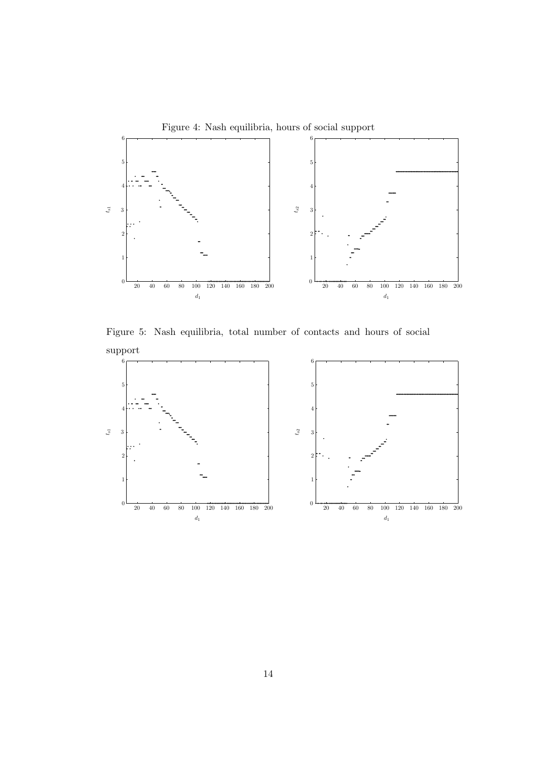

Figure 5: Nash equilibria, total number of contacts and hours of social support

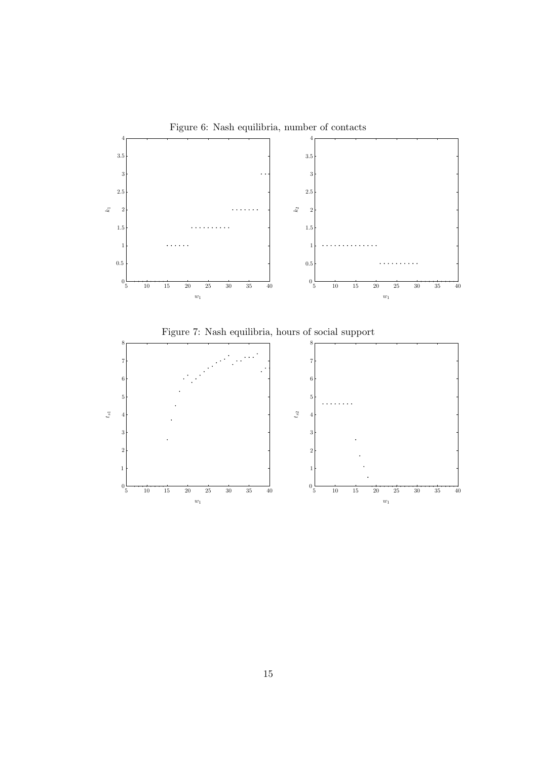



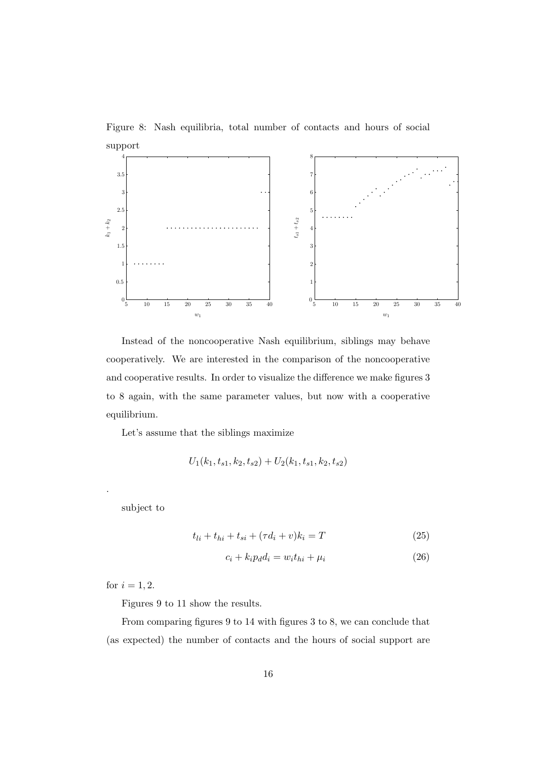Figure 8: Nash equilibria, total number of contacts and hours of social support



Instead of the noncooperative Nash equilibrium, siblings may behave cooperatively. We are interested in the comparison of the noncooperative and cooperative results. In order to visualize the difference we make figures 3 to 8 again, with the same parameter values, but now with a cooperative equilibrium.

Let's assume that the siblings maximize

$$
U_1(k_1, t_{s1}, k_2, t_{s2}) + U_2(k_1, t_{s1}, k_2, t_{s2})
$$

subject to

.

$$
t_{li} + t_{hi} + t_{si} + (\tau d_i + v)k_i = T
$$
\n(25)

$$
c_i + k_i p_d d_i = w_i t_{hi} + \mu_i \tag{26}
$$

for  $i = 1, 2$ .

Figures 9 to 11 show the results.

From comparing figures 9 to 14 with figures 3 to 8, we can conclude that (as expected) the number of contacts and the hours of social support are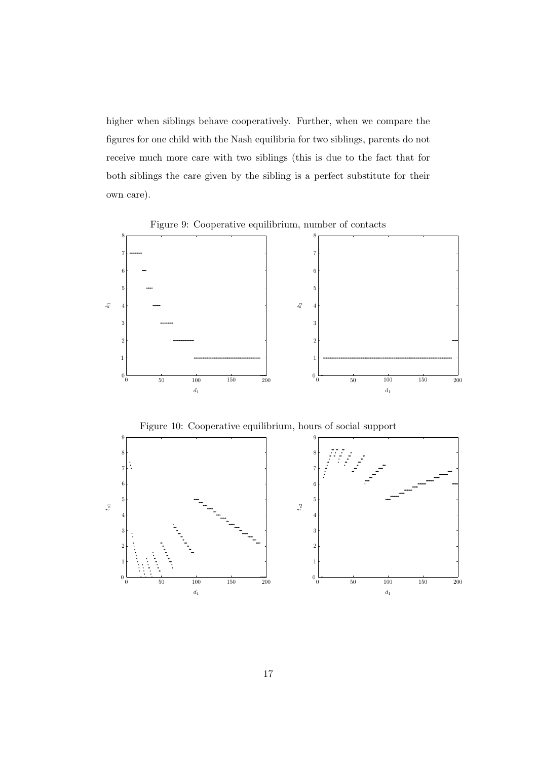higher when siblings behave cooperatively. Further, when we compare the figures for one child with the Nash equilibria for two siblings, parents do not receive much more care with two siblings (this is due to the fact that for both siblings the care given by the sibling is a perfect substitute for their own care).

Figure 9: Cooperative equilibrium, number of contacts



Figure 10: Cooperative equilibrium, hours of social support

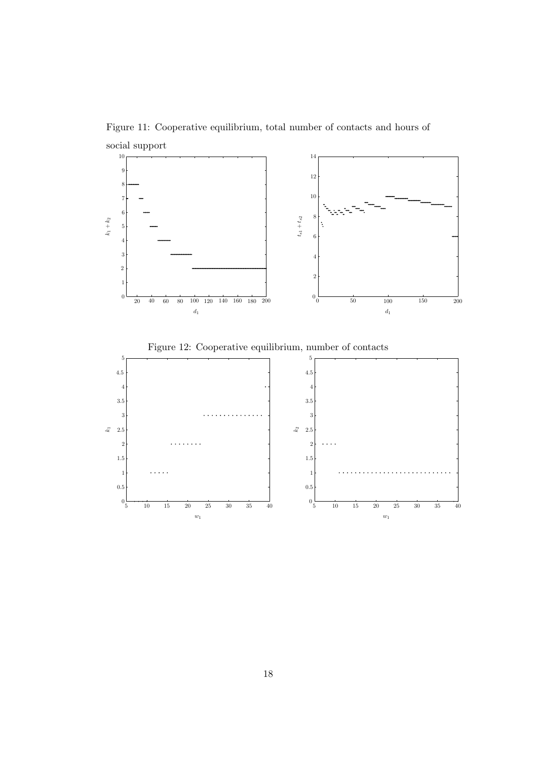Figure 11: Cooperative equilibrium, total number of contacts and hours of social support



Figure 12: Cooperative equilibrium, number of contacts

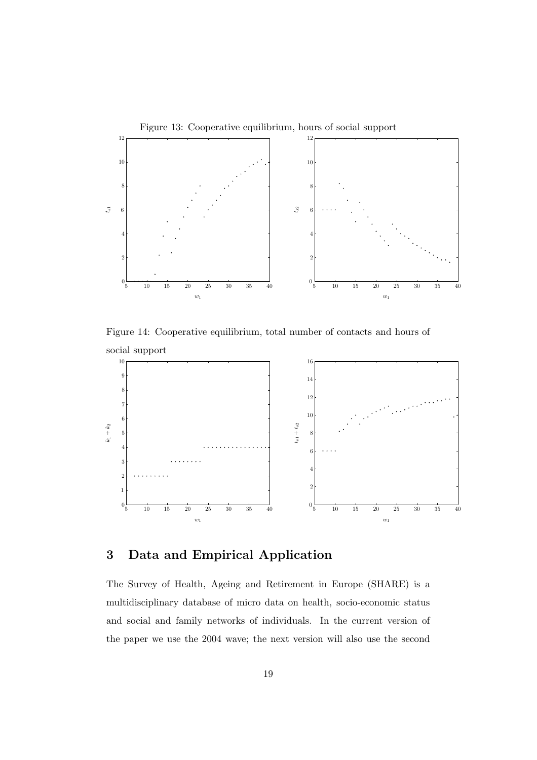

Figure 14: Cooperative equilibrium, total number of contacts and hours of social support



# 3 Data and Empirical Application

The Survey of Health, Ageing and Retirement in Europe (SHARE) is a multidisciplinary database of micro data on health, socio-economic status and social and family networks of individuals. In the current version of the paper we use the 2004 wave; the next version will also use the second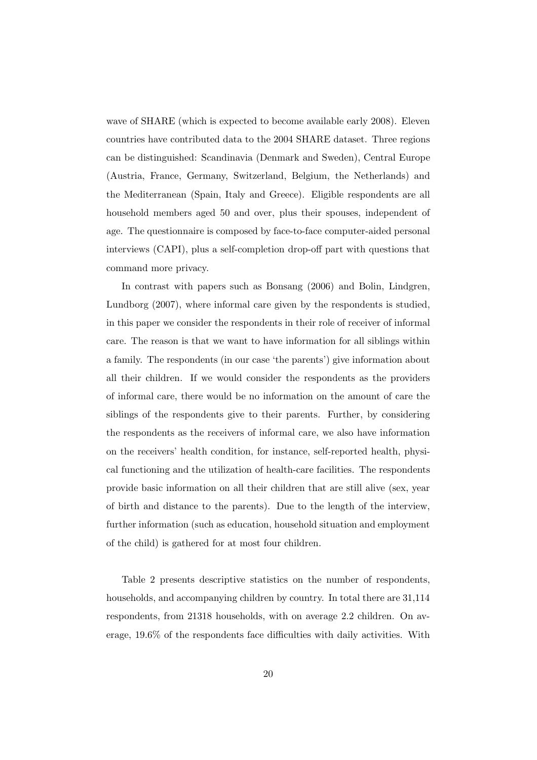wave of SHARE (which is expected to become available early 2008). Eleven countries have contributed data to the 2004 SHARE dataset. Three regions can be distinguished: Scandinavia (Denmark and Sweden), Central Europe (Austria, France, Germany, Switzerland, Belgium, the Netherlands) and the Mediterranean (Spain, Italy and Greece). Eligible respondents are all household members aged 50 and over, plus their spouses, independent of age. The questionnaire is composed by face-to-face computer-aided personal interviews (CAPI), plus a self-completion drop-off part with questions that command more privacy.

In contrast with papers such as Bonsang (2006) and Bolin, Lindgren, Lundborg (2007), where informal care given by the respondents is studied, in this paper we consider the respondents in their role of receiver of informal care. The reason is that we want to have information for all siblings within a family. The respondents (in our case 'the parents') give information about all their children. If we would consider the respondents as the providers of informal care, there would be no information on the amount of care the siblings of the respondents give to their parents. Further, by considering the respondents as the receivers of informal care, we also have information on the receivers' health condition, for instance, self-reported health, physical functioning and the utilization of health-care facilities. The respondents provide basic information on all their children that are still alive (sex, year of birth and distance to the parents). Due to the length of the interview, further information (such as education, household situation and employment of the child) is gathered for at most four children.

Table 2 presents descriptive statistics on the number of respondents, households, and accompanying children by country. In total there are 31,114 respondents, from 21318 households, with on average 2.2 children. On average, 19.6% of the respondents face difficulties with daily activities. With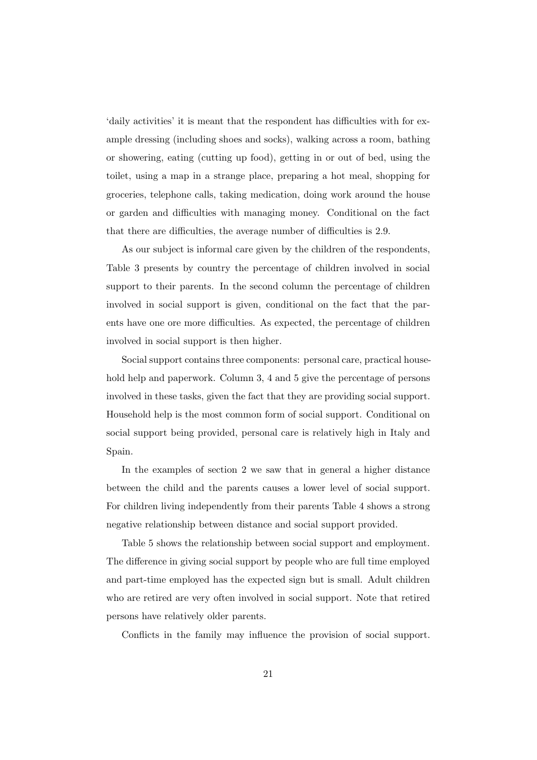'daily activities' it is meant that the respondent has difficulties with for example dressing (including shoes and socks), walking across a room, bathing or showering, eating (cutting up food), getting in or out of bed, using the toilet, using a map in a strange place, preparing a hot meal, shopping for groceries, telephone calls, taking medication, doing work around the house or garden and difficulties with managing money. Conditional on the fact that there are difficulties, the average number of difficulties is 2.9.

As our subject is informal care given by the children of the respondents, Table 3 presents by country the percentage of children involved in social support to their parents. In the second column the percentage of children involved in social support is given, conditional on the fact that the parents have one ore more difficulties. As expected, the percentage of children involved in social support is then higher.

Social support contains three components: personal care, practical household help and paperwork. Column 3, 4 and 5 give the percentage of persons involved in these tasks, given the fact that they are providing social support. Household help is the most common form of social support. Conditional on social support being provided, personal care is relatively high in Italy and Spain.

In the examples of section 2 we saw that in general a higher distance between the child and the parents causes a lower level of social support. For children living independently from their parents Table 4 shows a strong negative relationship between distance and social support provided.

Table 5 shows the relationship between social support and employment. The difference in giving social support by people who are full time employed and part-time employed has the expected sign but is small. Adult children who are retired are very often involved in social support. Note that retired persons have relatively older parents.

Conflicts in the family may influence the provision of social support.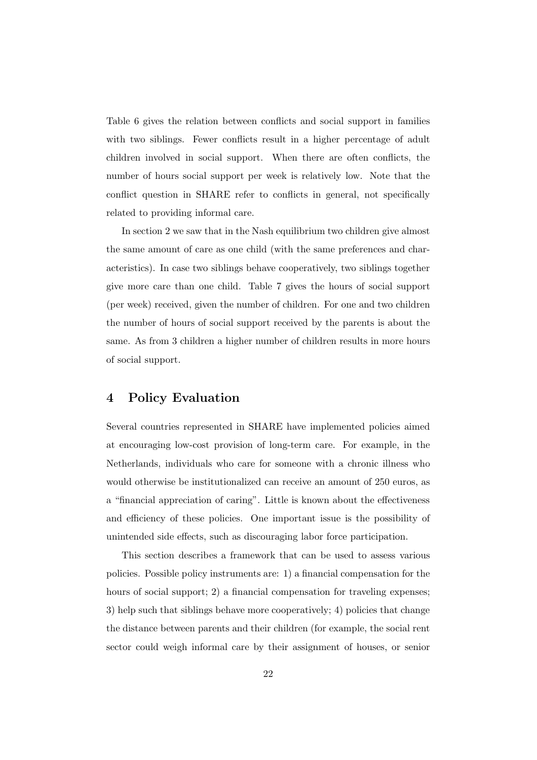Table 6 gives the relation between conflicts and social support in families with two siblings. Fewer conflicts result in a higher percentage of adult children involved in social support. When there are often conflicts, the number of hours social support per week is relatively low. Note that the conflict question in SHARE refer to conflicts in general, not specifically related to providing informal care.

In section 2 we saw that in the Nash equilibrium two children give almost the same amount of care as one child (with the same preferences and characteristics). In case two siblings behave cooperatively, two siblings together give more care than one child. Table 7 gives the hours of social support (per week) received, given the number of children. For one and two children the number of hours of social support received by the parents is about the same. As from 3 children a higher number of children results in more hours of social support.

## 4 Policy Evaluation

Several countries represented in SHARE have implemented policies aimed at encouraging low-cost provision of long-term care. For example, in the Netherlands, individuals who care for someone with a chronic illness who would otherwise be institutionalized can receive an amount of 250 euros, as a "financial appreciation of caring". Little is known about the effectiveness and efficiency of these policies. One important issue is the possibility of unintended side effects, such as discouraging labor force participation.

This section describes a framework that can be used to assess various policies. Possible policy instruments are: 1) a financial compensation for the hours of social support; 2) a financial compensation for traveling expenses; 3) help such that siblings behave more cooperatively; 4) policies that change the distance between parents and their children (for example, the social rent sector could weigh informal care by their assignment of houses, or senior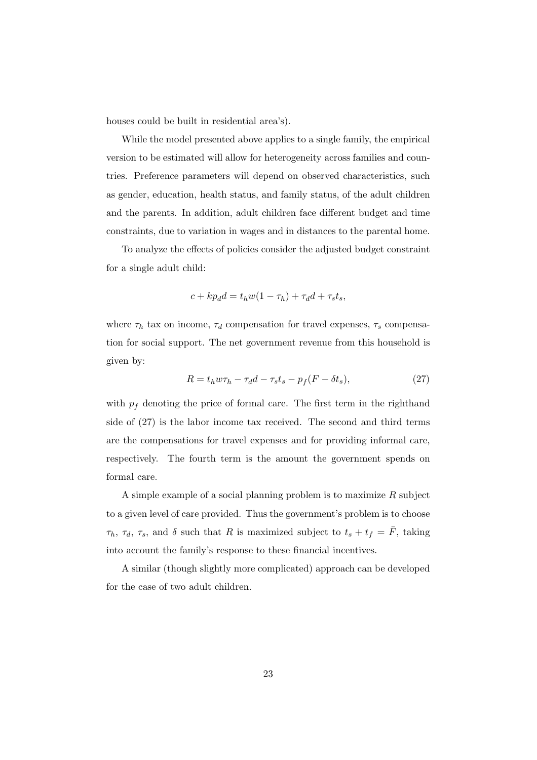houses could be built in residential area's).

While the model presented above applies to a single family, the empirical version to be estimated will allow for heterogeneity across families and countries. Preference parameters will depend on observed characteristics, such as gender, education, health status, and family status, of the adult children and the parents. In addition, adult children face different budget and time constraints, due to variation in wages and in distances to the parental home.

To analyze the effects of policies consider the adjusted budget constraint for a single adult child:

$$
c + kp_d d = t_h w(1 - \tau_h) + \tau_d d + \tau_s t_s,
$$

where  $\tau_h$  tax on income,  $\tau_d$  compensation for travel expenses,  $\tau_s$  compensation for social support. The net government revenue from this household is given by:

$$
R = t_h w \tau_h - \tau_d d - \tau_s t_s - p_f (F - \delta t_s), \qquad (27)
$$

with  $p_f$  denoting the price of formal care. The first term in the righthand side of (27) is the labor income tax received. The second and third terms are the compensations for travel expenses and for providing informal care, respectively. The fourth term is the amount the government spends on formal care.

A simple example of a social planning problem is to maximize  $R$  subject to a given level of care provided. Thus the government's problem is to choose  $\tau_h$ ,  $\tau_d$ ,  $\tau_s$ , and  $\delta$  such that R is maximized subject to  $t_s + t_f = \overline{F}$ , taking into account the family's response to these financial incentives.

A similar (though slightly more complicated) approach can be developed for the case of two adult children.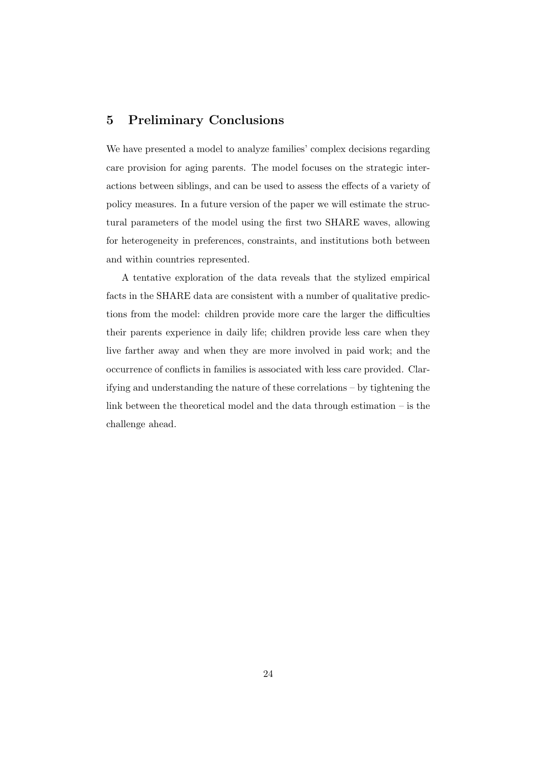## 5 Preliminary Conclusions

We have presented a model to analyze families' complex decisions regarding care provision for aging parents. The model focuses on the strategic interactions between siblings, and can be used to assess the effects of a variety of policy measures. In a future version of the paper we will estimate the structural parameters of the model using the first two SHARE waves, allowing for heterogeneity in preferences, constraints, and institutions both between and within countries represented.

A tentative exploration of the data reveals that the stylized empirical facts in the SHARE data are consistent with a number of qualitative predictions from the model: children provide more care the larger the difficulties their parents experience in daily life; children provide less care when they live farther away and when they are more involved in paid work; and the occurrence of conflicts in families is associated with less care provided. Clarifying and understanding the nature of these correlations – by tightening the link between the theoretical model and the data through estimation – is the challenge ahead.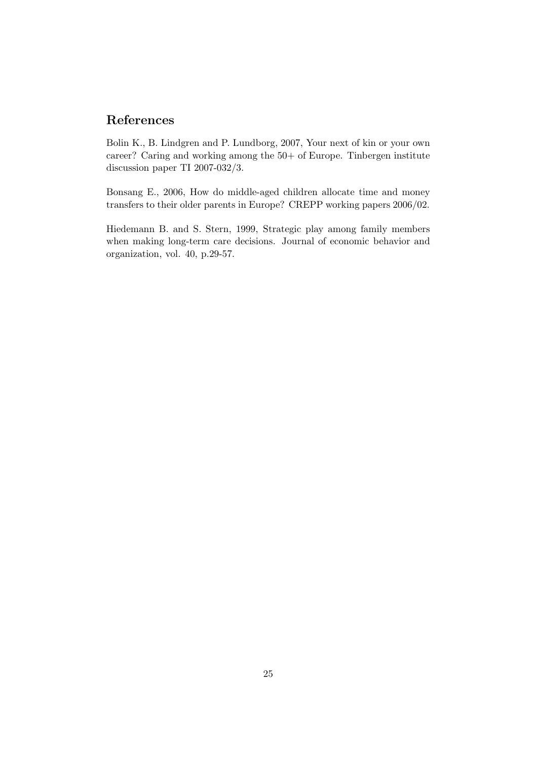## References

Bolin K., B. Lindgren and P. Lundborg, 2007, Your next of kin or your own career? Caring and working among the 50+ of Europe. Tinbergen institute discussion paper TI 2007-032/3.

Bonsang E., 2006, How do middle-aged children allocate time and money transfers to their older parents in Europe? CREPP working papers 2006/02.

Hiedemann B. and S. Stern, 1999, Strategic play among family members when making long-term care decisions. Journal of economic behavior and organization, vol. 40, p.29-57.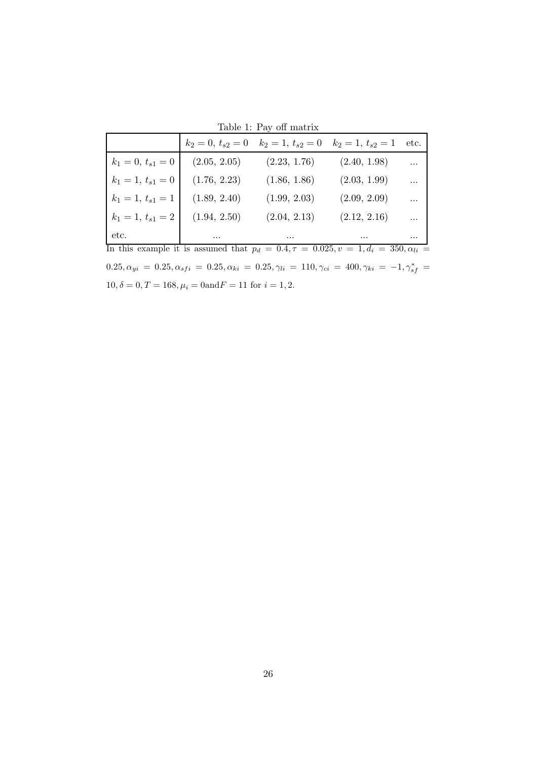Table 1: Pay off matrix

|                                                                                               | $k_2 = 0, t_{s2} = 0$ | $k_2 = 1, t_{s2} = 0$ | $k_2=1, t_{s2}=1$ | etc.       |
|-----------------------------------------------------------------------------------------------|-----------------------|-----------------------|-------------------|------------|
| $k_1 = 0, t_{s1} = 0$                                                                         | (2.05, 2.05)          | (2.23, 1.76)          | (2.40, 1.98)      |            |
| $k_1 = 1, t_{s1} = 0$                                                                         | (1.76, 2.23)          | (1.86, 1.86)          | (2.03, 1.99)      |            |
| $k_1 = 1, t_{s1} = 1$                                                                         | (1.89, 2.40)          | (1.99, 2.03)          | (2.09, 2.09)      | $\ddotsc$  |
| $k_1 = 1, t_{s1} = 2$                                                                         | (1.94, 2.50)          | (2.04, 2.13)          | (2.12, 2.16)      | $\dddotsc$ |
| etc.                                                                                          | $\cdots$              | $\cdots$              | $\cdots$          |            |
| In this example it is assumed that $p_d = 0.4, \tau = 0.025, v = 1, d_i = 350, \alpha_{li} =$ |                       |                       |                   |            |

 $0.25, \alpha_{yi} = 0.25, \alpha_{sfi} = 0.25, \alpha_{ki} = 0.25, \gamma_{li} = 110, \gamma_{ci} = 400, \gamma_{ki} = -1, \gamma_{sf}^* =$  $10, \delta = 0, T = 168, \mu_i = 0 \ \mathrm{and} \ F = 11$  for  $i = 1, 2.$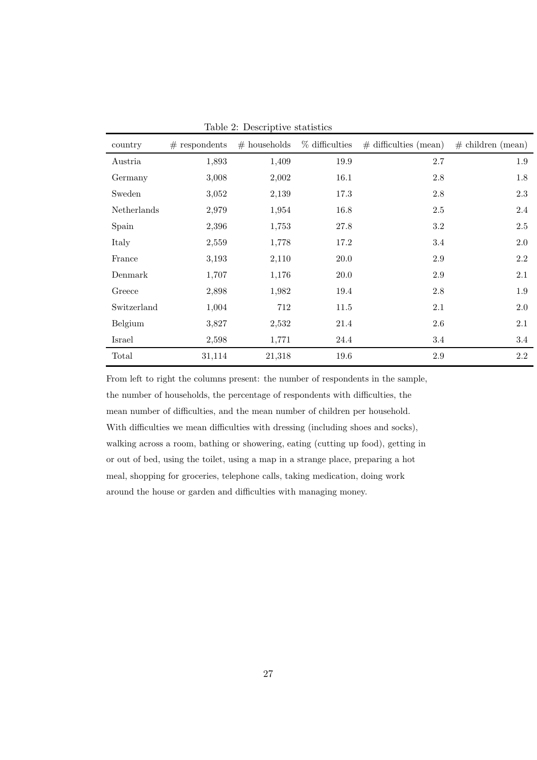| country     | $#$ respondents | $#$ households | $%$ difficulties | $\#$ difficulties (mean) | $\#$ children (mean) |
|-------------|-----------------|----------------|------------------|--------------------------|----------------------|
| Austria     | 1,893           | 1,409          | $19.9\,$         | $2.7\,$                  | 1.9                  |
| Germany     | 3,008           | 2,002          | 16.1             | 2.8                      | 1.8                  |
| Sweden      | 3,052           | 2,139          | 17.3             | $2.8\,$                  | $2.3\,$              |
| Netherlands | 2,979           | 1,954          | 16.8             | 2.5                      | 2.4                  |
| Spain       | 2,396           | 1,753          | 27.8             | 3.2                      | 2.5                  |
| Italy       | 2,559           | 1,778          | 17.2             | 3.4                      | 2.0                  |
| France      | 3,193           | 2,110          | 20.0             | $2.9\,$                  | $2.2\,$              |
| Denmark     | 1,707           | 1,176          | 20.0             | $2.9\,$                  | $2.1\,$              |
| Greece      | 2,898           | 1,982          | 19.4             | 2.8                      | 1.9                  |
| Switzerland | 1,004           | 712            | 11.5             | 2.1                      | $2.0\,$              |
| Belgium     | 3,827           | 2,532          | 21.4             | 2.6                      | 2.1                  |
| Israel      | 2,598           | 1,771          | 24.4             | 3.4                      | 3.4                  |
| Total       | 31,114          | 21,318         | 19.6             | 2.9                      | $2.2\,$              |

Table 2: Descriptive statistics

From left to right the columns present: the number of respondents in the sample, the number of households, the percentage of respondents with difficulties, the mean number of difficulties, and the mean number of children per household. With difficulties we mean difficulties with dressing (including shoes and socks), walking across a room, bathing or showering, eating (cutting up food), getting in or out of bed, using the toilet, using a map in a strange place, preparing a hot meal, shopping for groceries, telephone calls, taking medication, doing work around the house or garden and difficulties with managing money.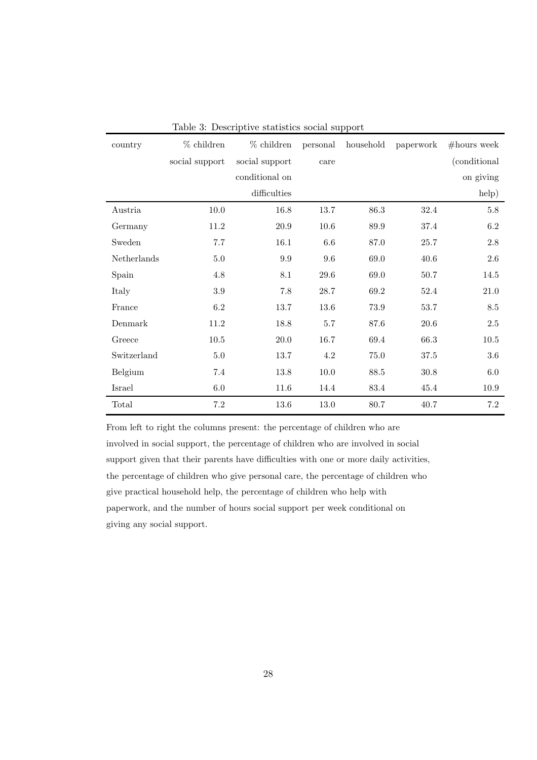| country     | $%$ children   | $%$ children   | personal | household | paperwork | $#$ hours week |
|-------------|----------------|----------------|----------|-----------|-----------|----------------|
|             | social support | social support | care     |           |           | (conditional   |
|             |                | conditional on |          |           |           | on giving      |
|             |                | difficulties   |          |           |           | help)          |
| Austria     | 10.0           | 16.8           | 13.7     | 86.3      | 32.4      | $5.8\,$        |
| Germany     | 11.2           | 20.9           | $10.6\,$ | 89.9      | 37.4      | 6.2            |
| Sweden      | 7.7            | 16.1           | 6.6      | 87.0      | 25.7      | 2.8            |
| Netherlands | $5.0\,$        | 9.9            | 9.6      | 69.0      | 40.6      | $2.6\,$        |
| Spain       | $4.8\,$        | $8.1\,$        | $29.6\,$ | 69.0      | $50.7\,$  | 14.5           |
| Italy       | 3.9            | 7.8            | 28.7     | 69.2      | 52.4      | 21.0           |
| France      | 6.2            | 13.7           | 13.6     | 73.9      | 53.7      | 8.5            |
| Denmark     | 11.2           | 18.8           | 5.7      | 87.6      | $20.6\,$  | $2.5\,$        |
| Greece      | 10.5           | 20.0           | 16.7     | 69.4      | 66.3      | 10.5           |
| Switzerland | 5.0            | 13.7           | 4.2      | 75.0      | 37.5      | 3.6            |
| Belgium     | 7.4            | $13.8\,$       | $10.0\,$ | $88.5\,$  | $30.8\,$  | $6.0\,$        |
| Israel      | 6.0            | 11.6           | 14.4     | 83.4      | 45.4      | 10.9           |
| Total       | 7.2            | 13.6           | 13.0     | 80.7      | 40.7      | 7.2            |

Table 3: Descriptive statistics social support

From left to right the columns present: the percentage of children who are involved in social support, the percentage of children who are involved in social support given that their parents have difficulties with one or more daily activities, the percentage of children who give personal care, the percentage of children who give practical household help, the percentage of children who help with paperwork, and the number of hours social support per week conditional on giving any social support.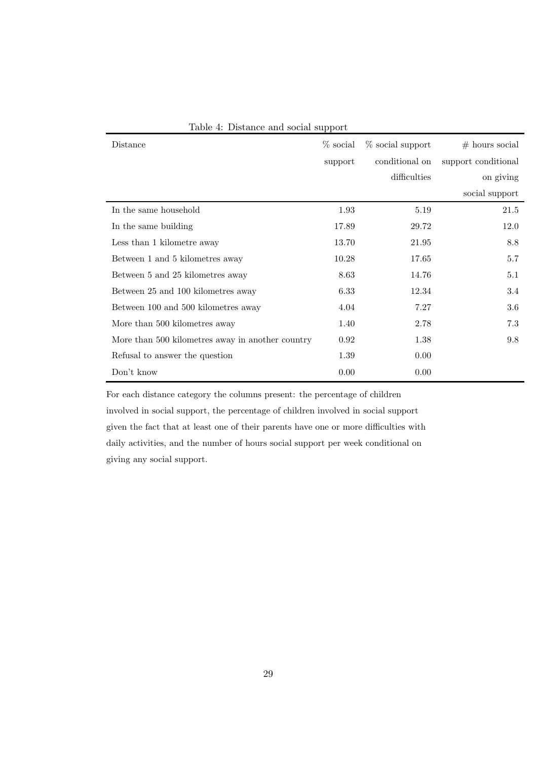| Distance                                         | $\%$ social | $\%$ social support | $#$ hours social    |
|--------------------------------------------------|-------------|---------------------|---------------------|
|                                                  | support     | conditional on      | support conditional |
|                                                  |             | difficulties        | on giving           |
|                                                  |             |                     | social support      |
| In the same household                            | 1.93        | 5.19                | 21.5                |
| In the same building                             | 17.89       | 29.72               | 12.0                |
| Less than 1 kilometre away                       | 13.70       | 21.95               | 8.8                 |
| Between 1 and 5 kilometres away                  | 10.28       | 17.65               | 5.7                 |
| Between 5 and 25 kilometres away                 | 8.63        | 14.76               | 5.1                 |
| Between 25 and 100 kilometres away               | 6.33        | 12.34               | 3.4                 |
| Between 100 and 500 kilometres away              | 4.04        | 7.27                | 3.6                 |
| More than 500 kilometres away                    | 1.40        | 2.78                | 7.3                 |
| More than 500 kilometres away in another country | 0.92        | 1.38                | 9.8                 |
| Refusal to answer the question                   | 1.39        | 0.00                |                     |
| Don't know                                       | 0.00        | 0.00                |                     |

Table 4: Distance and social support

For each distance category the columns present: the percentage of children involved in social support, the percentage of children involved in social support given the fact that at least one of their parents have one or more difficulties with daily activities, and the number of hours social support per week conditional on giving any social support.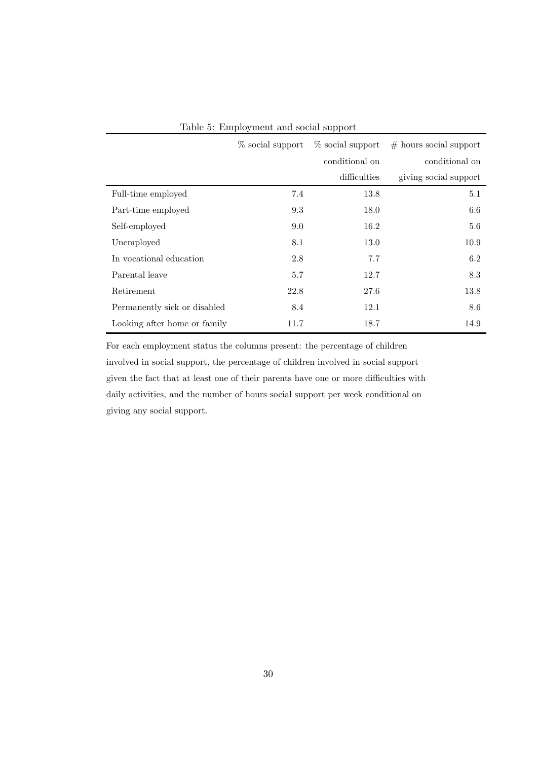|                              | % social support | $\%$ social support | $#$ hours social support |
|------------------------------|------------------|---------------------|--------------------------|
|                              |                  | conditional on      | conditional on           |
|                              |                  | difficulties        | giving social support    |
| Full-time employed           | 7.4              | 13.8                | 5.1                      |
| Part-time employed           | 9.3              | 18.0                | 6.6                      |
| Self-employed                | 9.0              | 16.2                | 5.6                      |
| Unemployed                   | 8.1              | 13.0                | 10.9                     |
| In vocational education      | 2.8              | 7.7                 | 6.2                      |
| Parental leave               | 5.7              | 12.7                | 8.3                      |
| Retirement                   | 22.8             | 27.6                | 13.8                     |
| Permanently sick or disabled | 8.4              | 12.1                | 8.6                      |
| Looking after home or family | 11.7             | 18.7                | 14.9                     |

For each employment status the columns present: the percentage of children involved in social support, the percentage of children involved in social support given the fact that at least one of their parents have one or more difficulties with daily activities, and the number of hours social support per week conditional on giving any social support.